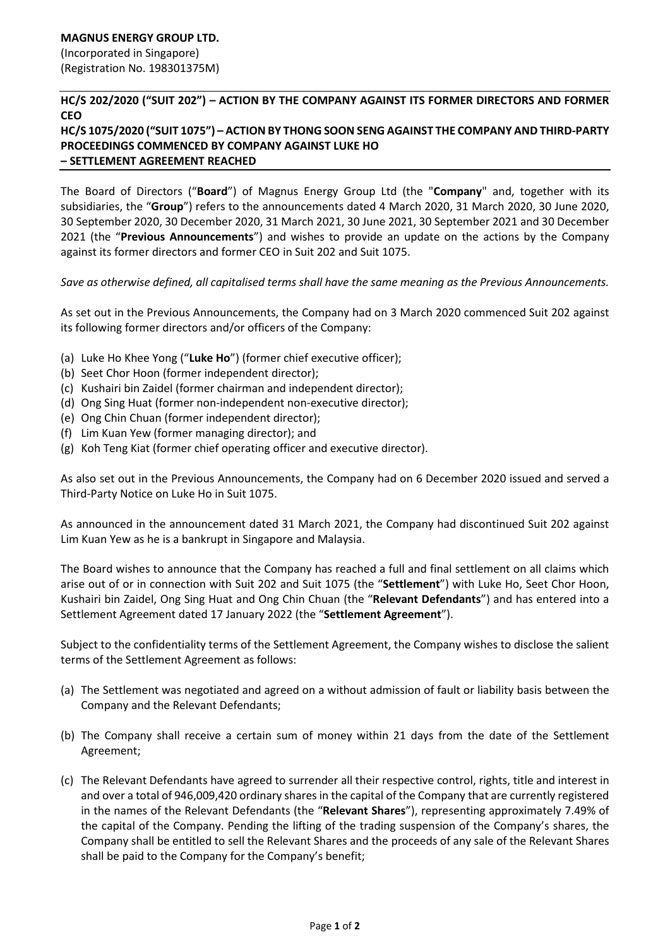## **HC/S 202/2020 ("SUIT 202") – ACTION BY THE COMPANY AGAINST ITS FORMER DIRECTORS AND FORMER CEO**

## **HC/S 1075/2020 ("SUIT 1075") – ACTION BY THONG SOON SENG AGAINST THE COMPANY AND THIRD-PARTY PROCEEDINGS COMMENCED BY COMPANY AGAINST LUKE HO – SETTLEMENT AGREEMENT REACHED**

The Board of Directors ("**Board**") of Magnus Energy Group Ltd (the "**Company**" and, together with its subsidiaries, the "**Group**") refers to the announcements dated 4 March 2020, 31 March 2020, 30 June 2020, 30 September 2020, 30 December 2020, 31 March 2021, 30 June 2021, 30 September 2021 and 30 December 2021 (the "**Previous Announcements**") and wishes to provide an update on the actions by the Company against its former directors and former CEO in Suit 202 and Suit 1075.

*Save as otherwise defined, all capitalised terms shall have the same meaning as the Previous Announcements.* 

As set out in the Previous Announcements, the Company had on 3 March 2020 commenced Suit 202 against its following former directors and/or officers of the Company:

- (a) Luke Ho Khee Yong ("**Luke Ho**") (former chief executive officer);
- (b) Seet Chor Hoon (former independent director);
- (c) Kushairi bin Zaidel (former chairman and independent director);
- (d) Ong Sing Huat (former non-independent non-executive director);
- (e) Ong Chin Chuan (former independent director);
- (f) Lim Kuan Yew (former managing director); and
- (g) Koh Teng Kiat (former chief operating officer and executive director).

As also set out in the Previous Announcements, the Company had on 6 December 2020 issued and served a Third-Party Notice on Luke Ho in Suit 1075.

As announced in the announcement dated 31 March 2021, the Company had discontinued Suit 202 against Lim Kuan Yew as he is a bankrupt in Singapore and Malaysia.

The Board wishes to announce that the Company has reached a full and final settlement on all claims which arise out of or in connection with Suit 202 and Suit 1075 (the "**Settlement**") with Luke Ho, Seet Chor Hoon, Kushairi bin Zaidel, Ong Sing Huat and Ong Chin Chuan (the "**Relevant Defendants**") and has entered into a Settlement Agreement dated 17 January 2022 (the "**Settlement Agreement**").

Subject to the confidentiality terms of the Settlement Agreement, the Company wishes to disclose the salient terms of the Settlement Agreement as follows:

- (a) The Settlement was negotiated and agreed on a without admission of fault or liability basis between the Company and the Relevant Defendants;
- (b) The Company shall receive a certain sum of money within 21 days from the date of the Settlement Agreement;
- (c) The Relevant Defendants have agreed to surrender all their respective control, rights, title and interest in and over a total of 946,009,420 ordinary shares in the capital of the Company that are currently registered in the names of the Relevant Defendants (the "**Relevant Shares**"), representing approximately 7.49% of the capital of the Company. Pending the lifting of the trading suspension of the Company's shares, the Company shall be entitled to sell the Relevant Shares and the proceeds of any sale of the Relevant Shares shall be paid to the Company for the Company's benefit;